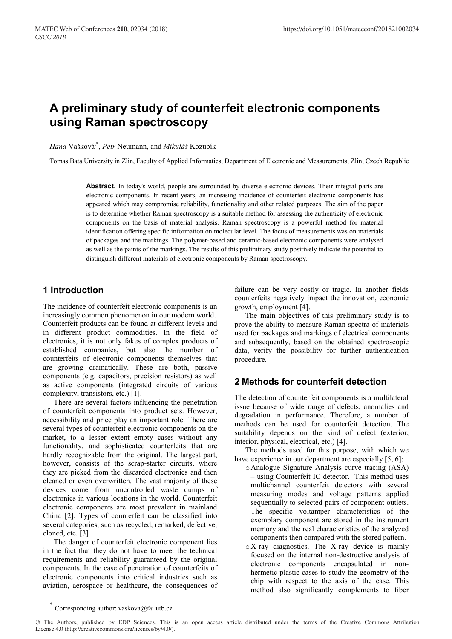# **A preliminary study of counterfeit electronic components using Raman spectroscopy**

*Hana* Vašková,\* , *Petr* Neumann, and *Mikuláš* Kozubík

Tomas Bata University in Zlin, Faculty of Applied Informatics, Department of Electronic and Measurements, Zlin, Czech Republic

Abstract. In today's world, people are surrounded by diverse electronic devices. Their integral parts are electronic components. In recent years, an increasing incidence of counterfeit electronic components has appeared which may compromise reliability, functionality and other related purposes. The aim of the paper is to determine whether Raman spectroscopy is a suitable method for assessing the authenticity of electronic components on the basis of material analysis. Raman spectroscopy is a powerful method for material identification offering specific information on molecular level. The focus of measurements was on materials of packages and the markings. The polymer-based and ceramic-based electronic components were analysed as well as the paints of the markings. The results of this preliminary study positively indicate the potential to distinguish different materials of electronic components by Raman spectroscopy.

# **1 Introduction**

The incidence of counterfeit electronic components is an increasingly common phenomenon in our modern world. Counterfeit products can be found at different levels and in different product commodities. In the field of electronics, it is not only fakes of complex products of established companies, but also the number of counterfeits of electronic components themselves that are growing dramatically. These are both, passive components (e.g. capacitors, precision resistors) as well as active components (integrated circuits of various complexity, transistors, etc.) [1].

There are several factors influencing the penetration of counterfeit components into product sets. However, accessibility and price play an important role. There are several types of counterfeit electronic components on the market, to a lesser extent empty cases without any functionality, and sophisticated counterfeits that are hardly recognizable from the original. The largest part, however, consists of the scrap-starter circuits, where they are picked from the discarded electronics and then cleaned or even overwritten. The vast majority of these devices come from uncontrolled waste dumps of electronics in various locations in the world. Counterfeit electronic components are most prevalent in mainland China [2]. Types of counterfeit can be classified into several categories, such as recycled, remarked, defective, cloned, etc. [3]

The danger of counterfeit electronic component lies in the fact that they do not have to meet the technical requirements and reliability guaranteed by the original components. In the case of penetration of counterfeits of electronic components into critical industries such as aviation, aerospace or healthcare, the consequences of

failure can be very costly or tragic. In another fields counterfeits negatively impact the innovation, economic growth, employment [4].

The main objectives of this preliminary study is to prove the ability to measure Raman spectra of materials used for packages and markings of electrical components and subsequently, based on the obtained spectroscopic data, verify the possibility for further authentication procedure.

# **2 Methods for counterfeit detection**

The detection of counterfeit components is a multilateral issue because of wide range of defects, anomalies and degradation in performance. Therefore, a number of methods can be used for counterfeit detection. The suitability depends on the kind of defect (exterior, interior, physical, electrical, etc.) [4].

The methods used for this purpose, with which we have experience in our department are especially [5, 6]:

- oAnalogue Signature Analysis curve tracing (ASA) – using Counterfeit IC detector. This method uses multichannel counterfeit detectors with several measuring modes and voltage patterns applied sequentially to selected pairs of component outlets. The specific voltamper characteristics of the exemplary component are stored in the instrument memory and the real characteristics of the analyzed components then compared with the stored pattern.
- $\circ$ X-ray diagnostics. The X-ray device is mainly focused on the internal non-destructive analysis of electronic components encapsulated in nonhermetic plastic cases to study the geometry of the chip with respect to the axis of the case. This method also significantly complements to fiber

<sup>\*</sup> Corresponding author:  $\underline{vaskova@fai.}utb.cz$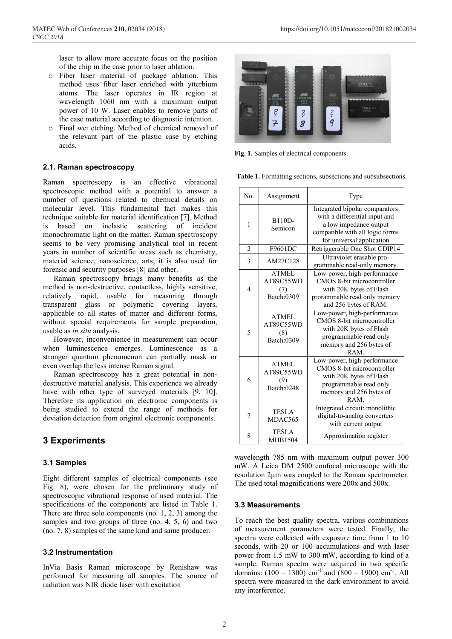laser to allow more accurate focus on the position of the chip in the case prior to laser ablation.

- o Fiber laser material of package ablation. This method uses fiber laser enriched with ytterbium atoms. The laser operates in IR region at wavelength 1060 nm with a maximum output power of 10 W. Laser enables to remove parts of the case material according to diagnostic intention.
- o Final wet etching. Method of chemical removal of the relevant part of the plastic case by etching acids.

# **2.1. Raman spectroscopy**

Raman spectroscopy is an effective vibrational spectroscopic method with a potential to answer a number of questions related to chemical details on molecular level. This fundamental fact makes this technique suitable for material identification [7]. Method is based on inelastic scattering of incident monochromatic light on the matter. Raman spectroscopy seems to be very promising analytical tool in recent years in number of scientific areas such as chemistry, material science, nanoscience, arts; it is also used for forensic and security purposes [8] and other.

Raman spectroscopy brings many benefits as the method is non-destructive, contactless, highly sensitive, relatively rapid, usable for measuring through transparent glass or polymeric covering layers, applicable to all states of matter and different forms, without special requirements for sample preparation, usable as *in situ* analysis.

However, inconvenience in measurement can occur when luminescence emerges. Luminescence as a stronger quantum phenomenon can partially mask or even overlap the less intense Raman signal.

Raman spectroscopy has a great potential in nondestructive material analysis. This experience we already have with other type of surveyed materials [9, 10]. Therefore its application on electronic components is being studied to extend the range of methods for deviation detection from original electronic components.

# **3 Experiments**

# **3.1 Samples**

Eight different samples of electrical components (see Fig. 8), were chosen for the preliminary study of spectroscopic vibrational response of used material. The specifications of the components are listed in Table 1. There are three solo components (no. 1, 2, 3) among the samples and two groups of three (no. 4, 5, 6) and two (no. 7, 8) samples of the same kind and same producer.

# **3.2 Instrumentation**

InVia Basis Raman microscope by Renishaw was performed for measuring all samples. The source of radiation was NIR diode laser with excitation



**Fig. 1.** Samples of electrical components.

**Table 1.** Formatting sections, subsections and subsubsections.

| N <sub>0</sub> | Assignment                                      | Type                                                                                                                                                      |
|----------------|-------------------------------------------------|-----------------------------------------------------------------------------------------------------------------------------------------------------------|
| 1              | <b>B110D-</b><br>Semicon                        | Integrated bipolar comparators<br>with a differential input and<br>a low impedance output<br>compatible with all logic forms<br>for universal application |
| $\mathfrak{D}$ | F9601DC                                         | Retriggerable One Shot CDIP14                                                                                                                             |
| 3              | AM27C128                                        | Ultraviolet erasable pro-<br>grammable read-only memory.                                                                                                  |
| 4              | <b>ATMEL</b><br>AT89C55WD<br>(7)<br>Batch:0309  | Low-power, high-performance<br>CMOS 8-bit microcontroller<br>with 20K bytes of Flash<br>prorammable read only memory<br>and 256 bytes of RAM.             |
| 5              | <b>ATMEL</b><br>AT89C55WD<br>(8)<br>Batch: 0309 | Low-power, high-performance<br>CMOS 8-bit microcontroller<br>with 20K bytes of Flash<br>programmable read only<br>memory and 256 bytes of<br>RAM.         |
| 6              | <b>ATMEL</b><br>AT89C55WD<br>(9)<br>Batch:0248  | Low-power, high-performance<br>CMOS 8-bit microcontroller<br>with 20K bytes of Flash<br>programmable read only<br>memory and 256 bytes of<br>RAM.         |
| 7              | <b>TESLA</b><br>MDAC565                         | Integrated circuit: monolithic<br>digital-to-analog converters<br>with current output                                                                     |
| 8              | <b>TESLA</b><br><b>MHB1504</b>                  | Approximation register                                                                                                                                    |

wavelength 785 nm with maximum output power 300 mW. A Leica DM 2500 confocal microscope with the resolution 2μm was coupled to the Raman spectrometer. The used total magnifications were 200x and 500x.

### **3.3 Measurements**

To reach the best quality spectra, various combinations of measurement parameters were tested. Finally, the spectra were collected with exposure time from 1 to 10 seconds, with 20 or 100 accumulations and with laser power from 1.5 mW to 300 mW, according to kind of a sample. Raman spectra were acquired in two specific domains:  $(100 - 1300)$  cm<sup>-1</sup> and  $(800 - 1900)$  cm<sup>-1</sup>. All spectra were measured in the dark environment to avoid any interference.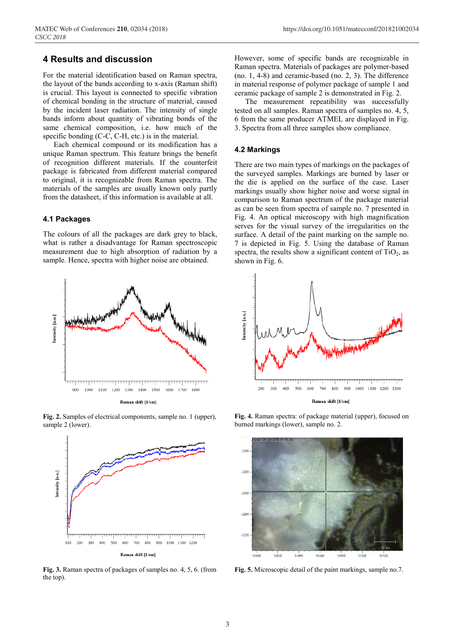# **4 Results and discussion**

For the material identification based on Raman spectra, the layout of the bands according to x-axis (Raman shift) is crucial. This layout is connected to specific vibration of chemical bonding in the structure of material, caused by the incident laser radiation. The intensity of single bands inform about quantity of vibrating bonds of the same chemical composition, i.e. how much of the specific bonding (C-C, C-H, etc.) is in the material.

Each chemical compound or its modification has a unique Raman spectrum. This feature brings the benefit of recognition different materials. If the counterfeit package is fabricated from different material compared to original, it is recognizable from Raman spectra. The materials of the samples are usually known only partly from the datasheet, if this information is available at all.

### **4.1 Packages**

The colours of all the packages are dark grey to black, what is rather a disadvantage for Raman spectroscopic measurement due to high absorption of radiation by a sample. Hence, spectra with higher noise are obtained.



**Fig. 2.** Samples of electrical components, sample no. 1 (upper), sample 2 (lower).



**Fig. 3.** Raman spectra of packages of samples no. 4, 5, 6. (from the top).

However, some of specific bands are recognizable in Raman spectra. Materials of packages are polymer-based (no. 1, 4-8) and ceramic-based (no. 2, 3). The difference in material response of polymer package of sample 1 and ceramic package of sample 2 is demonstrated in Fig. 2.

The measurement repeatibility was successfully tested on all samples. Raman spectra of samples no. 4, 5, 6 from the same producer ATMEL are displayed in Fig. 3. Spectra from all three samples show compliance.

### **4.2 Markings**

There are two main types of markings on the packages of the surveyed samples. Markings are burned by laser or the die is applied on the surface of the case. Laser markings usually show higher noise and worse signal in comparison to Raman spectrum of the package material as can be seen from spectra of sample no. 7 presented in Fig. 4. An optical microscopy with high magnification serves for the visual survey of the irregularities on the surface. A detail of the paint marking on the sample no. 7 is depicted in Fig. 5. Using the database of Raman spectra, the results show a significant content of  $TiO<sub>2</sub>$ , as shown in Fig. 6.



**Fig. 4.** Raman spectra: of package material (upper), focused on burned markings (lower), sample no. 2.



**Fig. 5.** Microscopic detail of the paint markings, sample no.7.